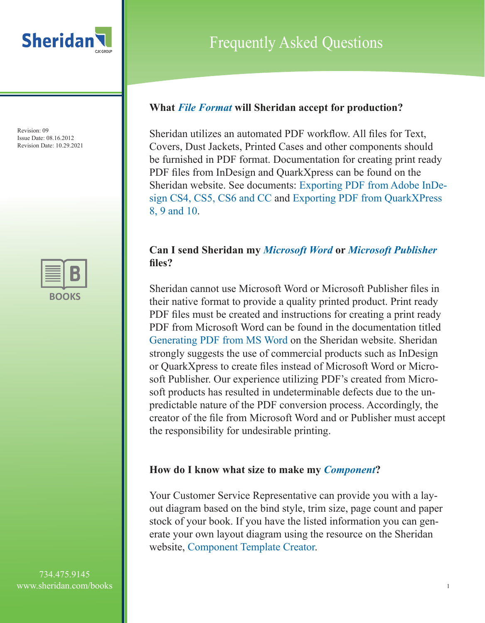

Frequently Asked Questions

#### **What** *File Format* **will Sheridan accept for production?**

Sheridan utilizes an automated PDF workflow. All files for Text, Covers, Dust Jackets, Printed Cases and other components should be furnished in PDF format. Documentation for creating print ready PDF files from InDesign and QuarkXpress can be found on the Sheridan website. See documents: Exporting PDF from Adobe InDesign CS4, CS5, CS6 and CC and Exporting PDF from QuarkXPress 8, 9 and 10.

# **Can I send Sheridan my** *Microsoft Word* **or** *Microsoft Publisher* **files?**

Sheridan cannot use Microsoft Word or Microsoft Publisher files in their native format to provide a quality printed product. Print ready PDF files must be created and instructions for creating a print ready PDF from Microsoft Word can be found in the documentation titled Generating PDF from MS Word on the Sheridan website. Sheridan strongly suggests the use of commercial products such as InDesign or QuarkXpress to create files instead of Microsoft Word or Microsoft Publisher. Our experience utilizing PDF's created from Microsoft products has resulted in undeterminable defects due to the unpredictable nature of the PDF conversion process. Accordingly, the creator of the file from Microsoft Word and or Publisher must accept the responsibility for undesirable printing.

#### **How do I know what size to make my** *Component***?**

Your Customer Service Representative can provide you with a layout diagram based on the bind style, trim size, page count and paper stock of your book. If you have the listed information you can generate your own layout diagram using the resource on the Sheridan website, Component Template Creator.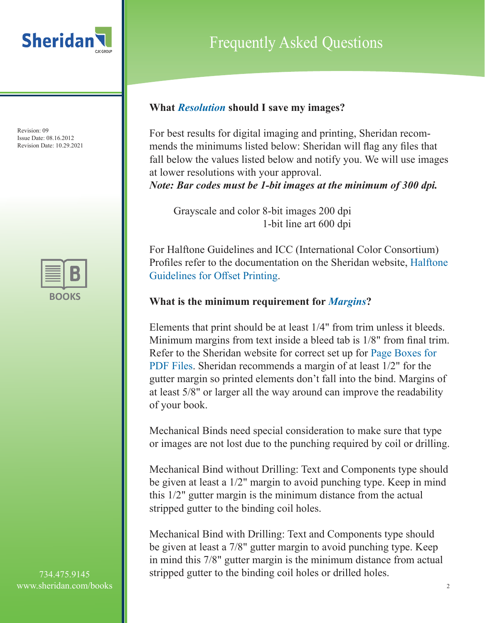



734.475.9145 www.sheridan.com/books

# Frequently Asked Questions

## **What** *Resolution* **should I save my images?**

For best results for digital imaging and printing, Sheridan recommends the minimums listed below: Sheridan will flag any files that fall below the values listed below and notify you. We will use images at lower resolutions with your approval.

*Note: Bar codes must be 1-bit images at the minimum of 300 dpi.* 

 Grayscale and color 8-bit images 200 dpi 1-bit line art 600 dpi

For Halftone Guidelines and ICC (International Color Consortium) Profiles refer to the documentation on the Sheridan website, Halftone Guidelines for Offset Printing.

# **What is the minimum requirement for** *Margins***?**

Elements that print should be at least 1/4" from trim unless it bleeds. Minimum margins from text inside a bleed tab is 1/8" from final trim. Refer to the Sheridan website for correct set up for Page Boxes for PDF Files. Sheridan recommends a margin of at least 1/2" for the gutter margin so printed elements don't fall into the bind. Margins of at least 5/8" or larger all the way around can improve the readability of your book.

Mechanical Binds need special consideration to make sure that type or images are not lost due to the punching required by coil or drilling.

Mechanical Bind without Drilling: Text and Components type should be given at least a 1/2" margin to avoid punching type. Keep in mind this 1/2" gutter margin is the minimum distance from the actual stripped gutter to the binding coil holes.

Mechanical Bind with Drilling: Text and Components type should be given at least a 7/8" gutter margin to avoid punching type. Keep in mind this 7/8" gutter margin is the minimum distance from actual stripped gutter to the binding coil holes or drilled holes.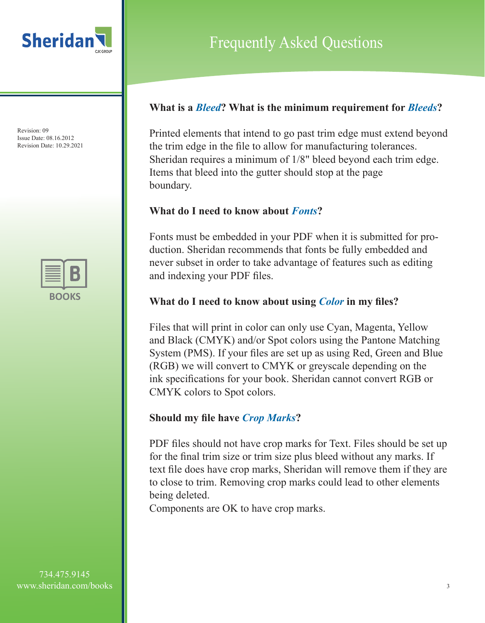



# Frequently Asked Questions

#### **What is a** *Bleed***? What is the minimum requirement for** *Bleeds***?**

Printed elements that intend to go past trim edge must extend beyond the trim edge in the file to allow for manufacturing tolerances. Sheridan requires a minimum of 1/8" bleed beyond each trim edge. Items that bleed into the gutter should stop at the page boundary.

## **What do I need to know about** *Fonts***?**

Fonts must be embedded in your PDF when it is submitted for production. Sheridan recommends that fonts be fully embedded and never subset in order to take advantage of features such as editing and indexing your PDF files.

## **What do I need to know about using** *Color* **in my files?**

Files that will print in color can only use Cyan, Magenta, Yellow and Black (CMYK) and/or Spot colors using the Pantone Matching System (PMS). If your files are set up as using Red, Green and Blue (RGB) we will convert to CMYK or greyscale depending on the ink specifications for your book. Sheridan cannot convert RGB or CMYK colors to Spot colors.

#### **Should my file have** *Crop Marks***?**

PDF files should not have crop marks for Text. Files should be set up for the final trim size or trim size plus bleed without any marks. If text file does have crop marks, Sheridan will remove them if they are to close to trim. Removing crop marks could lead to other elements being deleted.

Components are OK to have crop marks.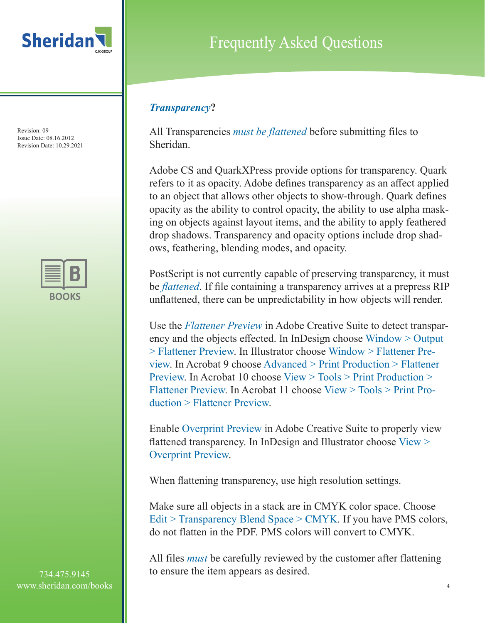



734.475.9145 www.sheridan.com/books

# Frequently Asked Questions

# *Transparency***?**

All Transparencies *must be flattened* before submitting files to Sheridan.

Adobe CS and QuarkXPress provide options for transparency. Quark refers to it as opacity. Adobe defines transparency as an affect applied to an object that allows other objects to show-through. Quark defines opacity as the ability to control opacity, the ability to use alpha masking on objects against layout items, and the ability to apply feathered drop shadows. Transparency and opacity options include drop shadows, feathering, blending modes, and opacity.

PostScript is not currently capable of preserving transparency, it must be *flattened*. If file containing a transparency arrives at a prepress RIP unflattened, there can be unpredictability in how objects will render.

Use the *Flattener Preview* in Adobe Creative Suite to detect transparency and the objects effected. In InDesign choose Window > Output > Flattener Preview. In Illustrator choose Window > Flattener Preview. In Acrobat 9 choose Advanced > Print Production > Flattener Preview. In Acrobat 10 choose View > Tools > Print Production > Flattener Preview. In Acrobat 11 choose View > Tools > Print Production > Flattener Preview.

Enable Overprint Preview in Adobe Creative Suite to properly view flattened transparency. In InDesign and Illustrator choose View > Overprint Preview.

When flattening transparency, use high resolution settings.

Make sure all objects in a stack are in CMYK color space. Choose Edit > Transparency Blend Space > CMYK. If you have PMS colors, do not flatten in the PDF. PMS colors will convert to CMYK.

All files *must* be carefully reviewed by the customer after flattening to ensure the item appears as desired.